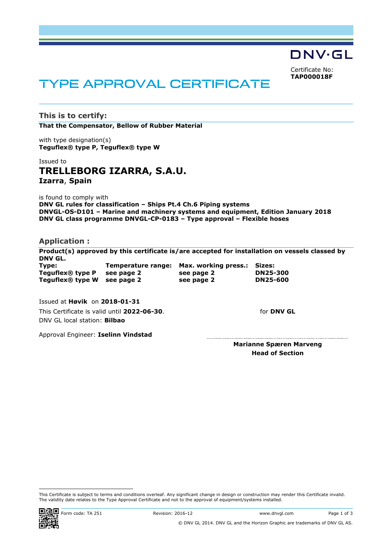DNV·GL Certificate No:

<span id="page-0-0"></span>**TAP000018F**

# TYPE APPROVAL CERTIFICATE

**This is to certify: That the Compensator, Bellow of Rubber Material**

with type designation(s) **Teguflex® type P, Teguflex® type W**

# Issued to **TRELLEBORG IZARRA, S.A.U. Izarra**, **Spain**

is found to comply with

**DNV GL rules for classification – Ships Pt.4 Ch.6 Piping systems DNVGL-OS-D101 – Marine and machinery systems and equipment, Edition January 2018 DNV GL class programme DNVGL-CP-0183 – Type approval – Flexible hoses**

# **Application :**

**Product(s) approved by this certificate is/are accepted for installation on vessels classed by DNV GL. Type: Temperature range: Max. working press.: Sizes: Teguflex® type P see page 2 see page 2 DN25-300 Teguflex® type W see page 2 see page 2 DN25-600**

Issued at **Høvik** on **2018-01-31**

This Certificate is valid until **2022-06-30**. DNV GL local station: **Bilbao**

Approval Engineer: **Iselinn Vindstad**

**Marianne Spæren Marveng Head of Section**

for **DNV GL**

This Certificate is subject to terms and conditions overleaf. Any significant change in design or construction may render this Certificate invalid. The validity date relates to the Type Approval Certificate and not to the approval of equipment/systems installed.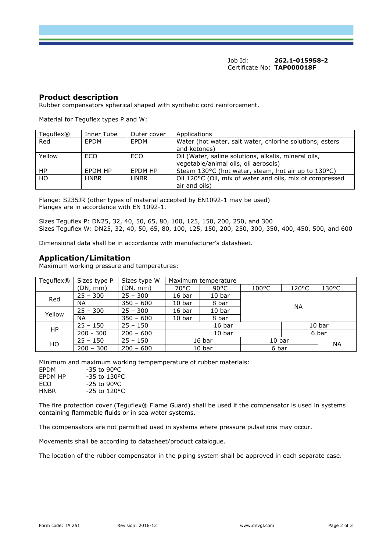Job Id: **262.1-015958-2**  Certificate No: **[TAP000018F](#page-0-0)**

## **Product description**

Rubber compensators spherical shaped with synthetic cord reinforcement.

Material for Teguflex types P and W:

| Teguflex® | Inner Tube  | Outer cover | Applications                                             |
|-----------|-------------|-------------|----------------------------------------------------------|
| Red       | <b>FPDM</b> | <b>FPDM</b> | Water (hot water, salt water, chlorine solutions, esters |
|           |             |             | and ketones)                                             |
| Yellow    | ECO         | ECO         | Oil (Water, saline solutions, alkalis, mineral oils,     |
|           |             |             | vegetable/animal oils, oil aerosols)                     |
| HP.       | FPDM HP     | FPDM HP     | Steam 130°C (hot water, steam, hot air up to 130°C)      |
| HO        | <b>HNBR</b> | <b>HNBR</b> | Oil 120°C (Oil, mix of water and oils, mix of compressed |
|           |             |             | air and oils)                                            |

Flange: S235JR (other types of material accepted by EN1092-1 may be used) Flanges are in accordance with EN 1092-1.

Sizes Teguflex P: DN25, 32, 40, 50, 65, 80, 100, 125, 150, 200, 250, and 300 Sizes Teguflex W: DN25, 32, 40, 50, 65, 80, 100, 125, 150, 200, 250, 300, 350, 400, 450, 500, and 600

Dimensional data shall be in accordance with manufacturer's datasheet.

# **Application/Limitation**

Maximum working pressure and temperatures:

| Teguflex® | Sizes type P | Sizes type W | Maximum temperature |                   |                   |                 |                 |
|-----------|--------------|--------------|---------------------|-------------------|-------------------|-----------------|-----------------|
|           | (DN, mm)     | (DN, mm)     | 70°C                | $90^{\circ}$ C    | $100^{\circ}$ C   | $120^{\circ}$ C | $130^{\circ}$ C |
| Red       | $25 - 300$   | $25 - 300$   | 16 <sub>bar</sub>   | 10 <sub>bar</sub> | NA.               |                 |                 |
|           | <b>NA</b>    | $350 - 600$  | 10 bar              | 8 bar             |                   |                 |                 |
| Yellow    | $25 - 300$   | $25 - 300$   | 16 bar              | 10 bar            |                   |                 |                 |
|           | NA           | $350 - 600$  | 10 <sub>bar</sub>   | 8 bar             |                   |                 |                 |
| <b>HP</b> | $25 - 150$   | $25 - 150$   | 16 bar              |                   |                   | 10 bar          |                 |
|           | $200 - 300$  | $200 - 600$  | 10 bar              |                   |                   | 6 bar           |                 |
| HO        | $25 - 150$   | $25 - 150$   | 16 <sub>bar</sub>   |                   | 10 <sub>bar</sub> |                 | <b>NA</b>       |
|           | $200 - 300$  | $200 - 600$  | 10 <sub>bar</sub>   |                   | 6 bar             |                 |                 |

Minimum and maximum working tempemperature of rubber materials:

| <b>FPDM</b> | $-35$ to 90 °C                |
|-------------|-------------------------------|
| FPDM HP     | $-35$ to $130$ <sup>o</sup> C |
| FCO.        | $-25$ to 90 °C                |
| <b>HNBR</b> | $-25$ to 120°C.               |

The fire protection cover (Teguflex® Flame Guard) shall be used if the compensator is used in systems containing flammable fluids or in sea water systems.

The compensators are not permitted used in systems where pressure pulsations may occur.

Movements shall be according to datasheet/product catalogue.

The location of the rubber compensator in the piping system shall be approved in each separate case.